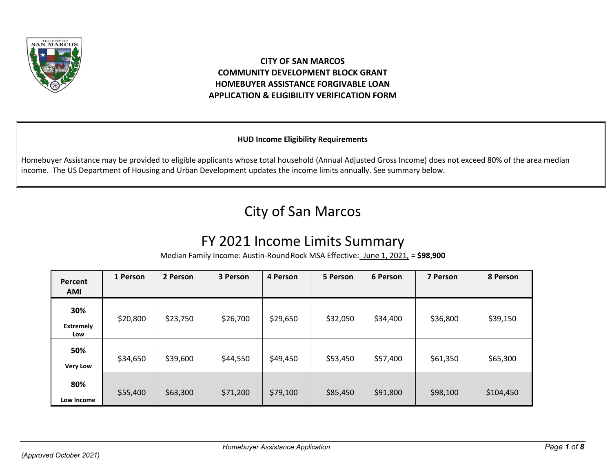

# **CITY OF SAN MARCOS COMMUNITY DEVELOPMENT BLOCK GRANT HOMEBUYER ASSISTANCE FORGIVABLE LOAN APPLICATION & ELIGIBILITY VERIFICATION FORM**

# **HUD Income Eligibility Requirements**

Homebuyer Assistance may be provided to eligible applicants whose total household (Annual Adjusted Gross Income) does not exceed 80% of the area median income. The US Department of Housing and Urban Development updates the income limits annually. See summary below.

# City of San Marcos

# FY 2021 Income Limits Summary

Median Family Income: Austin-RoundRock MSA Effective: June 1, 2021, **= \$98,900**

| Percent<br><b>AMI</b>          | 1 Person | 2 Person | 3 Person | 4 Person | 5 Person | 6 Person | 7 Person | 8 Person  |
|--------------------------------|----------|----------|----------|----------|----------|----------|----------|-----------|
| 30%<br><b>Extremely</b><br>Low | \$20,800 | \$23,750 | \$26,700 | \$29,650 | \$32,050 | \$34,400 | \$36,800 | \$39,150  |
| 50%<br><b>Very Low</b>         | \$34,650 | \$39,600 | \$44,550 | \$49,450 | \$53,450 | \$57,400 | \$61,350 | \$65,300  |
| 80%<br>Low Income              | \$55,400 | \$63,300 | \$71,200 | \$79,100 | \$85,450 | \$91,800 | \$98,100 | \$104,450 |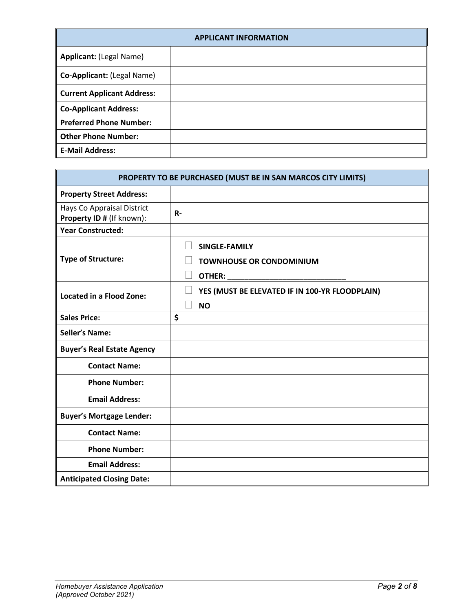| <b>APPLICANT INFORMATION</b>      |  |  |  |  |
|-----------------------------------|--|--|--|--|
| <b>Applicant: (Legal Name)</b>    |  |  |  |  |
| Co-Applicant: (Legal Name)        |  |  |  |  |
| <b>Current Applicant Address:</b> |  |  |  |  |
| <b>Co-Applicant Address:</b>      |  |  |  |  |
| <b>Preferred Phone Number:</b>    |  |  |  |  |
| <b>Other Phone Number:</b>        |  |  |  |  |
| <b>E-Mail Address:</b>            |  |  |  |  |

| PROPERTY TO BE PURCHASED (MUST BE IN SAN MARCOS CITY LIMITS) |                                                             |  |  |
|--------------------------------------------------------------|-------------------------------------------------------------|--|--|
| <b>Property Street Address:</b>                              |                                                             |  |  |
| Hays Co Appraisal District<br>Property ID # (If known):      | $R -$                                                       |  |  |
| <b>Year Constructed:</b>                                     |                                                             |  |  |
| <b>Type of Structure:</b>                                    | SINGLE-FAMILY<br><b>TOWNHOUSE OR CONDOMINIUM</b>            |  |  |
| <b>Located in a Flood Zone:</b>                              | YES (MUST BE ELEVATED IF IN 100-YR FLOODPLAIN)<br><b>NO</b> |  |  |
| <b>Sales Price:</b>                                          | \$                                                          |  |  |
| <b>Seller's Name:</b>                                        |                                                             |  |  |
| <b>Buyer's Real Estate Agency</b>                            |                                                             |  |  |
| <b>Contact Name:</b>                                         |                                                             |  |  |
| <b>Phone Number:</b>                                         |                                                             |  |  |
| <b>Email Address:</b>                                        |                                                             |  |  |
| <b>Buyer's Mortgage Lender:</b>                              |                                                             |  |  |
| <b>Contact Name:</b>                                         |                                                             |  |  |
| <b>Phone Number:</b>                                         |                                                             |  |  |
| <b>Email Address:</b>                                        |                                                             |  |  |
| <b>Anticipated Closing Date:</b>                             |                                                             |  |  |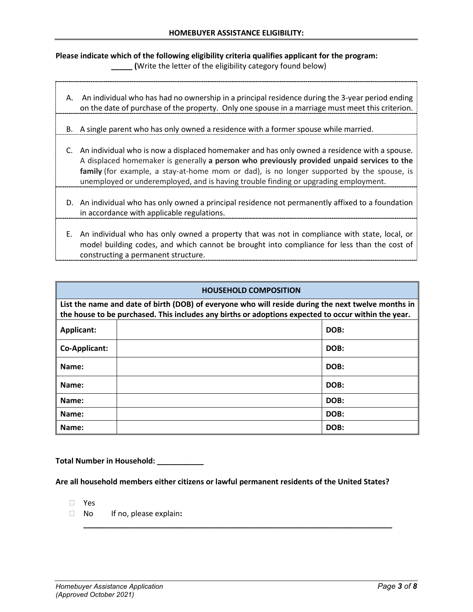### **Please indicate which of the following eligibility criteria qualifies applicant for the program: \_\_\_\_\_ (**Write the letter of the eligibility category found below)

- A. An individual who has had no ownership in a principal residence during the 3-year period ending on the date of purchase of the property. Only one spouse in a marriage must meet this criterion.
- B. A single parent who has only owned a residence with a former spouse while married.
- C. An individual who is now a displaced homemaker and has only owned a residence with a spouse. A displaced homemaker is generally **a person who previously provided unpaid services to the family** (for example, a stay-at-home mom or dad), is no longer supported by the spouse, is unemployed or underemployed, and is having trouble finding or upgrading employment.
- D. An individual who has only owned a principal residence not permanently affixed to a foundation in accordance with applicable regulations.
- E. An individual who has only owned a property that was not in compliance with state, local, or model building codes, and which cannot be brought into compliance for less than the cost of constructing a permanent structure.

| <b>HOUSEHOLD COMPOSITION</b>                                                                        |  |      |  |  |
|-----------------------------------------------------------------------------------------------------|--|------|--|--|
| List the name and date of birth (DOB) of everyone who will reside during the next twelve months in  |  |      |  |  |
| the house to be purchased. This includes any births or adoptions expected to occur within the year. |  |      |  |  |
| Applicant:                                                                                          |  | DOB: |  |  |
| Co-Applicant:                                                                                       |  | DOB: |  |  |
| Name:                                                                                               |  | DOB: |  |  |
| Name:                                                                                               |  | DOB: |  |  |
| Name:                                                                                               |  | DOB: |  |  |
| Name:                                                                                               |  | DOB: |  |  |
| Name:                                                                                               |  | DOB: |  |  |

**Total Number in Household: \_\_\_\_\_\_\_\_\_\_\_**

**Are all household members either citizens or lawful permanent residents of the United States?**

**\_\_\_\_\_\_\_\_\_\_\_\_\_\_\_\_\_\_\_\_\_\_\_\_\_\_\_\_\_\_\_\_\_\_\_\_\_\_\_\_\_\_\_\_\_\_\_\_\_\_\_\_\_\_\_\_\_\_\_\_\_\_\_\_\_\_\_\_\_\_\_\_\_**

- Yes
- No If no, please explain**:**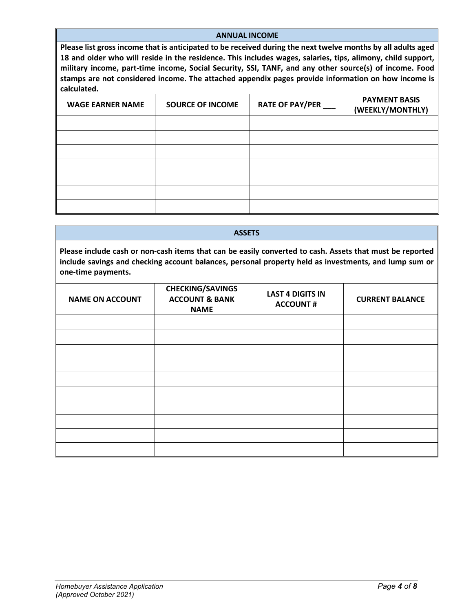#### **ANNUAL INCOME**

**Please list gross income that is anticipated to be received during the next twelve months by all adults aged 18 and older who will reside in the residence. This includes wages, salaries, tips, alimony, child support, military income, part-time income, Social Security, SSI, TANF, and any other source(s) of income. Food stamps are not considered income. The attached appendix pages provide information on how income is calculated.**

| <b>WAGE EARNER NAME</b> | <b>SOURCE OF INCOME</b> | RATE OF PAY/PER ___ | <b>PAYMENT BASIS</b><br>(WEEKLY/MONTHLY) |
|-------------------------|-------------------------|---------------------|------------------------------------------|
|                         |                         |                     |                                          |
|                         |                         |                     |                                          |
|                         |                         |                     |                                          |
|                         |                         |                     |                                          |
|                         |                         |                     |                                          |
|                         |                         |                     |                                          |
|                         |                         |                     |                                          |

| <b>ASSETS</b>                                                                                                                                                                                                                           |                                                                     |                                            |                        |  |
|-----------------------------------------------------------------------------------------------------------------------------------------------------------------------------------------------------------------------------------------|---------------------------------------------------------------------|--------------------------------------------|------------------------|--|
| Please include cash or non-cash items that can be easily converted to cash. Assets that must be reported<br>include savings and checking account balances, personal property held as investments, and lump sum or<br>one-time payments. |                                                                     |                                            |                        |  |
| <b>NAME ON ACCOUNT</b>                                                                                                                                                                                                                  | <b>CHECKING/SAVINGS</b><br><b>ACCOUNT &amp; BANK</b><br><b>NAME</b> | <b>LAST 4 DIGITS IN</b><br><b>ACCOUNT#</b> | <b>CURRENT BALANCE</b> |  |
|                                                                                                                                                                                                                                         |                                                                     |                                            |                        |  |
|                                                                                                                                                                                                                                         |                                                                     |                                            |                        |  |
|                                                                                                                                                                                                                                         |                                                                     |                                            |                        |  |
|                                                                                                                                                                                                                                         |                                                                     |                                            |                        |  |
|                                                                                                                                                                                                                                         |                                                                     |                                            |                        |  |
|                                                                                                                                                                                                                                         |                                                                     |                                            |                        |  |
|                                                                                                                                                                                                                                         |                                                                     |                                            |                        |  |
|                                                                                                                                                                                                                                         |                                                                     |                                            |                        |  |
|                                                                                                                                                                                                                                         |                                                                     |                                            |                        |  |
|                                                                                                                                                                                                                                         |                                                                     |                                            |                        |  |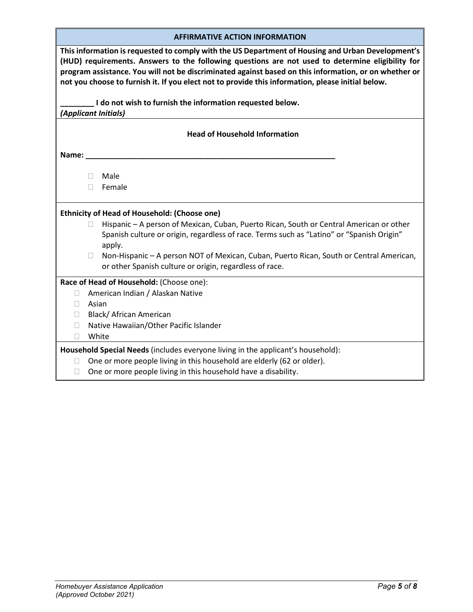| This information is requested to comply with the US Department of Housing and Urban Development's     |
|-------------------------------------------------------------------------------------------------------|
|                                                                                                       |
| (HUD) requirements. Answers to the following questions are not used to determine eligibility for      |
|                                                                                                       |
| program assistance. You will not be discriminated against based on this information, or on whether or |
|                                                                                                       |
| not you choose to furnish it. If you elect not to provide this information, please initial below.     |
|                                                                                                       |
| I do not wish to furnish the information requested below.                                             |
|                                                                                                       |
| <i>(Applicant Initials)</i>                                                                           |
|                                                                                                       |
|                                                                                                       |

#### **Head of Household Information**

**Name: \_\_\_\_\_\_\_\_\_\_\_\_\_\_\_\_\_\_\_\_\_\_\_\_\_\_\_\_\_\_\_\_\_\_\_\_\_\_\_\_\_\_\_\_\_\_\_\_\_\_\_\_\_\_\_\_\_\_\_** 

Male

Female

#### **Ethnicity of Head of Household: (Choose one)**

- $\Box$  Hispanic A person of Mexican, Cuban, Puerto Rican, South or Central American or other Spanish culture or origin, regardless of race. Terms such as "Latino" or "Spanish Origin" apply.
- □ Non-Hispanic A person NOT of Mexican, Cuban, Puerto Rican, South or Central American, or other Spanish culture or origin, regardless of race.

#### **Race of Head of Household:** (Choose one):

- □ American Indian / Alaskan Native
- Asian
- □ Black/ African American
- □ Native Hawaiian/Other Pacific Islander
- White

**Household Special Needs** (includes everyone living in the applicant's household):

- □ One or more people living in this household are elderly (62 or older).
- $\Box$  One or more people living in this household have a disability.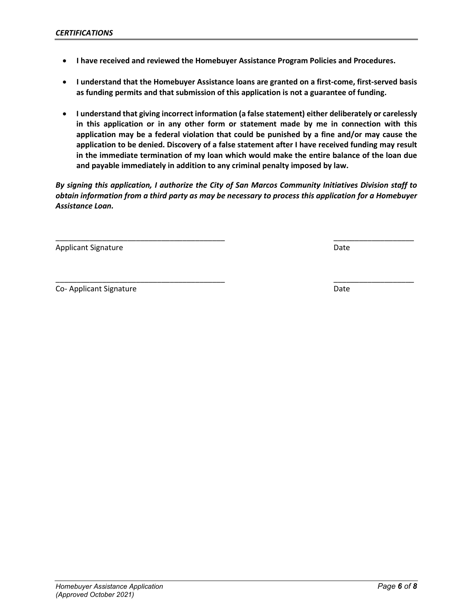- **I have received and reviewed the Homebuyer Assistance Program Policies and Procedures.**
- **I understand that the Homebuyer Assistance loans are granted on a first-come, first-served basis as funding permits and that submission of this application is not a guarantee of funding.**
- **I understand that giving incorrect information (a false statement) either deliberately or carelessly in this application or in any other form or statement made by me in connection with this application may be a federal violation that could be punished by a fine and/or may cause the application to be denied. Discovery of a false statement after I have received funding may result in the immediate termination of my loan which would make the entire balance of the loan due and payable immediately in addition to any criminal penalty imposed by law.**

*By signing this application, I authorize the City of San Marcos Community Initiatives Division staff to obtain information from a third party as may be necessary to process this application for a Homebuyer Assistance Loan.*

\_\_\_\_\_\_\_\_\_\_\_\_\_\_\_\_\_\_\_\_\_\_\_\_\_\_\_\_\_\_\_\_\_\_\_\_\_\_\_\_ \_\_\_\_\_\_\_\_\_\_\_\_\_\_\_\_\_\_\_

Applicant Signature Date Date of the Date of the Date of the Date Date of the Date of the Date of the Date of the Date of the Date of the Date of the Date of the Date of the Date of the Date of the Date of the Date of the

Co- Applicant Signature Date Date of the United States of the Date Date Date Date

\_\_\_\_\_\_\_\_\_\_\_\_\_\_\_\_\_\_\_\_\_\_\_\_\_\_\_\_\_\_\_\_\_\_\_\_\_\_\_\_ \_\_\_\_\_\_\_\_\_\_\_\_\_\_\_\_\_\_\_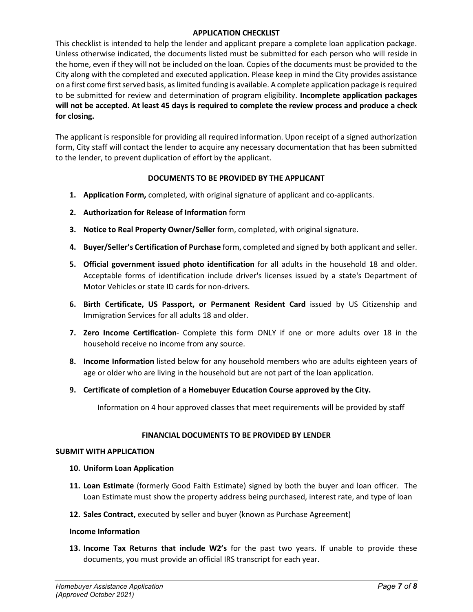#### **APPLICATION CHECKLIST**

This checklist is intended to help the lender and applicant prepare a complete loan application package. Unless otherwise indicated, the documents listed must be submitted for each person who will reside in the home, even if they will not be included on the loan. Copies of the documents must be provided to the City along with the completed and executed application. Please keep in mind the City provides assistance on a first come first served basis, as limited funding is available. A complete application package is required to be submitted for review and determination of program eligibility. **Incomplete application packages will not be accepted. At least 45 days is required to complete the review process and produce a check for closing.** 

The applicant is responsible for providing all required information. Upon receipt of a signed authorization form, City staff will contact the lender to acquire any necessary documentation that has been submitted to the lender, to prevent duplication of effort by the applicant.

### **DOCUMENTS TO BE PROVIDED BY THE APPLICANT**

- **1. Application Form,** completed, with original signature of applicant and co-applicants.
- **2. Authorization for Release of Information** form
- **3. Notice to Real Property Owner/Seller** form, completed, with original signature.
- **4. Buyer/Seller's Certification of Purchase** form, completed and signed by both applicant and seller.
- **5. Official government issued photo identification** for all adults in the household 18 and older. Acceptable forms of identification include driver's licenses issued by a state's Department of Motor Vehicles or state ID cards for non-drivers.
- **6. Birth Certificate, US Passport, or Permanent Resident Card** issued by US Citizenship and Immigration Services for all adults 18 and older.
- **7. Zero Income Certification** Complete this form ONLY if one or more adults over 18 in the household receive no income from any source.
- **8. Income Information** listed below for any household members who are adults eighteen years of age or older who are living in the household but are not part of the loan application.
- **9. Certificate of completion of a Homebuyer Education Course approved by the City.**

Information on 4 hour approved classes that meet requirements will be provided by staff

#### **FINANCIAL DOCUMENTS TO BE PROVIDED BY LENDER**

#### **SUBMIT WITH APPLICATION**

- **10. Uniform Loan Application**
- **11. Loan Estimate** (formerly Good Faith Estimate) signed by both the buyer and loan officer. The Loan Estimate must show the property address being purchased, interest rate, and type of loan
- **12. Sales Contract,** executed by seller and buyer (known as Purchase Agreement)

#### **Income Information**

**13. Income Tax Returns that include W2's** for the past two years. If unable to provide these documents, you must provide an official IRS transcript for each year.